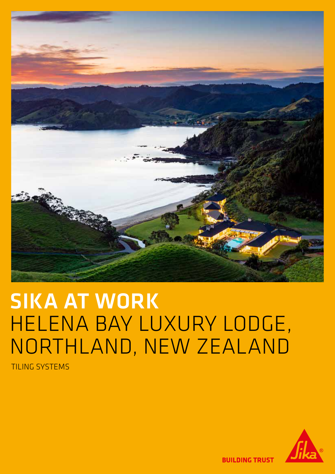

# SIKA AT WORK HELENA BAY LUXURY LODGE, NORTHLAND, NEW ZEALAND

TILING SYSTEMS



**BUILDING TRUST**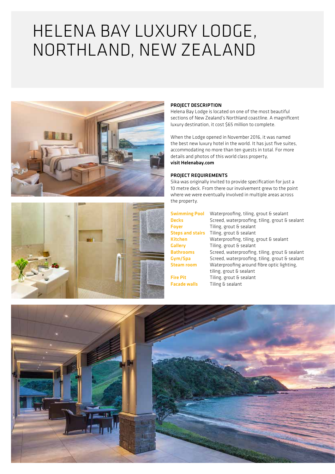## HELENA BAY LUXURY LODGE, NORTHLAND, NEW ZEALAND





#### PROJECT DESCRIPTION

Helena Bay Lodge is located on one of the most beautiful sections of New Zealand's Northland coastline. A magnificent luxury destination, it cost \$65 million to complete.

When the Lodge opened in November 2016, it was named the best new luxury hotel in the world. It has just five suites, accommodating no more than ten guests in total. For more details and photos of this world class property, visit Helenabay.com

#### PROJECT REQUIREMENTS

Sika was originally invited to provide specification for just a 10 metre deck. From there our involvement grew to the point where we were eventually involved in multiple areas across the property.

|                         | <b>Swimming Pool</b> Waterproofing, tiling, grout & sealant |
|-------------------------|-------------------------------------------------------------|
| <b>Decks</b>            | Screed, waterproofing, tiling, grout & sealant              |
| <b>Fover</b>            | Tiling, grout & sealant                                     |
| <b>Steps and stairs</b> | Tiling, grout & sealant                                     |
| <b>Kitchen</b>          | Waterproofing, tiling, grout & sealant                      |
| <b>Gallery</b>          | Tiling, grout & sealant                                     |
| <b>Bathrooms</b>        | Screed, waterproofing, tiling, grout & sealant              |
| Gym/Spa                 | Screed, waterproofing, tiling, grout & sealant              |
| <b>Steam room</b>       | Waterproofing around fibre optic lighting,                  |
|                         | tiling, grout & sealant                                     |
| <b>Fire Pit</b>         | Tiling, grout & sealant                                     |
| <b>Facade walls</b>     | Tiling & sealant                                            |

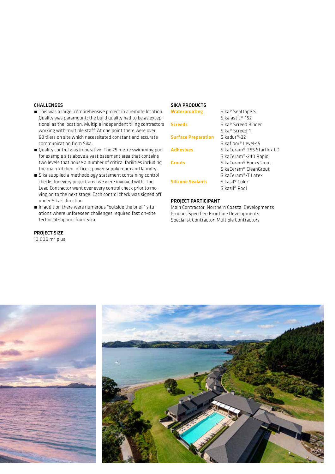#### **CHALLENGES**

- This was a large, comprehensive project in a remote location. Quality was paramount; the build quality had to be as exceptional as the location. Multiple independent tiling contractors working with multiple staff. At one point there were over 60 tilers on site which necessitated constant and accurate communication from Sika.
- Quality control was imperative. The 25 metre swimming pool for example sits above a vast basement area that contains two levels that house a number of critical facilities including the main kitchen, offices, power supply room and laundry.
- Sika supplied a methodology statement containing control checks for every project area we were involved with. The Lead Contractor went over every control check prior to moving on to the next stage. Each control check was signed off under Sika's direction.
- In addition there were numerous "outside the brief" situations where unforeseen challenges required fast on-site technical support from Sika.

### PROJECT SIZE

10,000 m² plus

#### SIKA PRODUCTS

| <b>Waterproofing</b>       | Sika <sup>®</sup> SealTape S      |
|----------------------------|-----------------------------------|
|                            | Sikalastic®-152                   |
| <b>Screeds</b>             | Sika® Screed Binder               |
|                            | Sika® Screed-1                    |
| <b>Surface Preparation</b> | $Sikaduro-32$                     |
|                            | Sikafloor® Level-15               |
| <b>Adhesives</b>           | SikaCeram®-255 Starflex LD        |
|                            | SikaCeram®-240 Rapid              |
| <b>Grouts</b>              | SikaCeram® EpoxyGrout             |
|                            | SikaCeram <sup>®</sup> CleanGrout |
|                            | SikaCeram®-T Latex                |
| <b>Silicone Sealants</b>   | Sikasil® Color                    |
|                            | Sikasil <sup>®</sup> Pool         |

#### PROJECT PARTICIPANT

Main Contractor: Northern Coastal Developments Product Specifier: Frontline Developments Specialist Contractor: Multiple Contractors